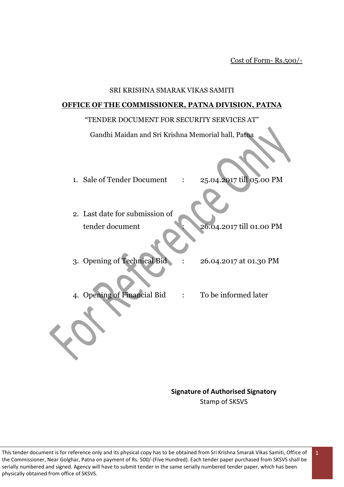Cost of Form- Rs.500/-

#### SRI KRISHNA SMARAK VIKAS SAMITI

#### **OFFICE OF THE COMMISSIONER, PATNA DIVISION, PATNA**

#### "TENDER DOCUMENT FOR SECURITY SERVICES AT"

Gandhi Maidan and Sri Krishna Memorial hall, Patna

- 1. Sale of Tender Document : 25.04.2017 till 05.00 PM
- 2. Last date for submission of tender document : 26.04.2017 till 01.00 PM
- 3. Opening of Technical Bid : 26.04.2017 at 01.30 PM
- 4. Opening of Financial Bid : To be informed later

**Signature of Authorised Signatory** Stamp of SKSVS

1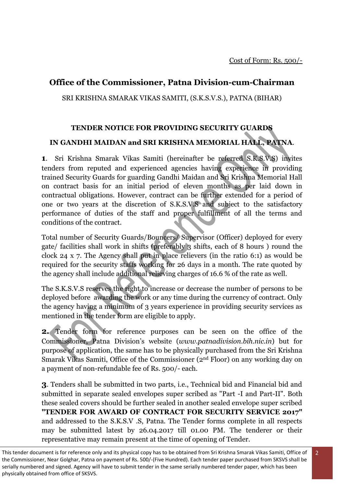2

## **Office of the Commissioner, Patna Division-cum-Chairman**

SRI KRISHNA SMARAK VIKAS SAMITI, (S.K.S.V.S.), PATNA (BIHAR)

# **TENDER NOTICE FOR PROVIDING SECURITY GUARDS IN GANDHI MAIDAN and SRI KRISHNA MEMORIAL HALL, PATNA**.

**1**. Sri Krishna Smarak Vikas Samiti (hereinafter be referred S.K.S.V.S) invites tenders from reputed and experienced agencies having experience in providing trained Security Guards for guarding Gandhi Maidan and Sri Krishna Memorial Hall on contract basis for an initial period of eleven months as per laid down in contractual obligations. However, contract can be further extended for a period of one or two years at the discretion of S.K.S.V.S and subject to the satisfactory performance of duties of the staff and proper fulfillment of all the terms and conditions of the contract.

Total number of Security Guards/Bouncers/ Supervisor (Officer) deployed for every gate/ facilities shall work in shifts (preferably 3 shifts, each of 8 hours ) round the clock 24 x 7. The Agency shall put in place relievers (in the ratio 6:1) as would be required for the security staffs working for 26 days in a month. The rate quoted by the agency shall include additional relieving charges of 16.6 % of the rate as well.

The S.K.S.V.S reserves the right to increase or decrease the number of persons to be deployed before awarding the work or any time during the currency of contract. Only the agency having a minimum of 3 years experience in providing security services as mentioned in the tender form are eligible to apply.

**2.** Tender form for reference purposes can be seen on the office of the Commissioner, Patna Division's website (*www.patnadivision.bih.nic.in*) but for purpose of application, the same has to be physically purchased from the Sri Krishna Smarak Vikas Samiti, Office of the Commissioner (2nd Floor) on any working day on a payment of non-refundable fee of Rs. 500/- each.

**3**. Tenders shall be submitted in two parts, i.e., Technical bid and Financial bid and submitted in separate sealed envelopes super scribed as "Part -I and Part-II". Both these sealed covers should be further sealed in another sealed envelope super scribed **"TENDER FOR AWARD OF CONTRACT FOR SECURITY SERVICE 2017"**  and addressed to the S.K.S.V .S, Patna. The Tender forms complete in all respects may be submitted latest by 26.04.2017 till 01.00 PM. The tenderer or their representative may remain present at the time of opening of Tender.

This tender document is for reference only and its physical copy has to be obtained from Sri Krishna Smarak Vikas Samiti, Office of the Commissioner, Near Golghar, Patna on payment of Rs. 500/-(Five Hundred). Each tender paper purchased from SKSVS shall be serially numbered and signed. Agency will have to submit tender in the same serially numbered tender paper, which has been physically obtained from office of SKSVS.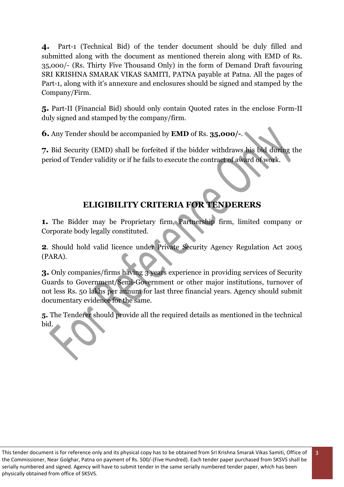**4.** Part-1 (Technical Bid) of the tender document should be duly filled and submitted along with the document as mentioned therein along with EMD of Rs. 35,000/- (Rs. Thirty Five Thousand Only) in the form of Demand Draft favouring SRI KRISHNA SMARAK VIKAS SAMITI, PATNA payable at Patna. All the pages of Part-1, along with it's annexure and enclosures should be signed and stamped by the Company/Firm.

**5.** Part-II (Financial Bid) should only contain Quoted rates in the enclose Form-II duly signed and stamped by the company/firm.

**6.** Any Tender should be accompanied by **EMD** of Rs. **35,000/-**.

**7.** Bid Security (EMD) shall be forfeited if the bidder withdraws his bid during the period of Tender validity or if he fails to execute the contract of award of work.

## **ELIGIBILITY CRITERIA FOR TENDERERS**

**1.** The Bidder may be Proprietary firm, Partnership firm, limited company or Corporate body legally constituted.

**2**. Should hold valid licence under Private Security Agency Regulation Act 2005 (PARA).

**3.** Only companies/firms having 3 years experience in providing services of Security Guards to Government/Semi-Government or other major institutions, turnover of not less Rs. 50 lakhs per annum for last three financial years. Agency should submit documentary evidence for the same.

**5.** The Tenderer should provide all the required details as mentioned in the technical bid.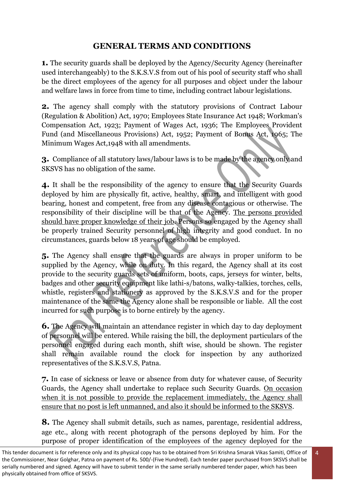## **GENERAL TERMS AND CONDITIONS**

**1.** The security guards shall be deployed by the Agency/Security Agency (hereinafter used interchangeably) to the S.K.S.V.S from out of his pool of security staff who shall be the direct employees of the agency for all purposes and object under the labour and welfare laws in force from time to time, including contract labour legislations.

**2.** The agency shall comply with the statutory provisions of Contract Labour (Regulation & Abolition) Act, 1970; Employees State Insurance Act 1948; Workman's Compensation Act, 1923; Payment of Wages Act, 1936; The Employees Provident Fund (and Miscellaneous Provisions) Act, 1952; Payment of Bonus Act, 1965; The Minimum Wages Act,1948 with all amendments.

**3.** Compliance of all statutory laws/labour laws is to be made by the agency only and SKSVS has no obligation of the same.

**4.** It shall be the responsibility of the agency to ensure that the Security Guards deployed by him are physically fit, active, healthy, smart, and intelligent with good bearing, honest and competent, free from any disease contagious or otherwise. The responsibility of their discipline will be that of the Agency. The persons provided should have proper knowledge of their job. Persons so engaged by the Agency shall be properly trained Security personnel of high integrity and good conduct. In no circumstances, guards below 18 years of age should be employed.

**5.** The Agency shall ensure that the guards are always in proper uniform to be supplied by the Agency, while on duty. In this regard, the Agency shall at its cost provide to the security guards sets of uniform, boots, caps, jerseys for winter, belts, badges and other security equipment like lathi-s/batons, walky-talkies, torches, cells, whistle, registers and stationery as approved by the S.K.S.V.S and for the proper maintenance of the same the Agency alone shall be responsible or liable. All the cost incurred for such purpose is to borne entirely by the agency.

**6.** The Agency will maintain an attendance register in which day to day deployment of personnel will be entered. While raising the bill, the deployment particulars of the personnel engaged during each month, shift wise, should be shown. The register shall remain available round the clock for inspection by any authorized representatives of the S.K.S.V.S, Patna.

**7.** In case of sickness or leave or absence from duty for whatever cause, of Security Guards, the Agency shall undertake to replace such Security Guards. On occasion when it is not possible to provide the replacement immediately, the Agency shall ensure that no post is left unmanned, and also it should be informed to the SKSVS.

**8.** The Agency shall submit details, such as names, parentage, residential address, age etc., along with recent photograph of the persons deployed by him. For the purpose of proper identification of the employees of the agency deployed for the

This tender document is for reference only and its physical copy has to be obtained from Sri Krishna Smarak Vikas Samiti, Office of the Commissioner, Near Golghar, Patna on payment of Rs. 500/-(Five Hundred). Each tender paper purchased from SKSVS shall be serially numbered and signed. Agency will have to submit tender in the same serially numbered tender paper, which has been physically obtained from office of SKSVS.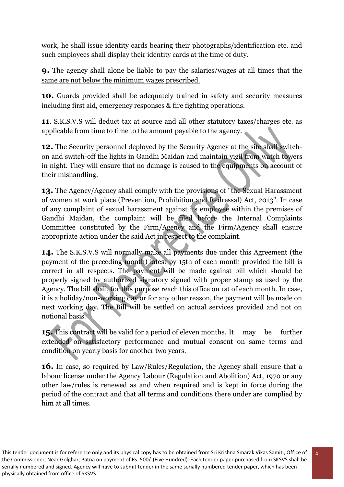work, he shall issue identity cards bearing their photographs/identification etc. and such employees shall display their identity cards at the time of duty.

**9.** The agency shall alone be liable to pay the salaries/wages at all times that the same are not below the minimum wages prescribed.

**10.** Guards provided shall be adequately trained in safety and security measures including first aid, emergency responses & fire fighting operations.

**11**. S.K.S.V.S will deduct tax at source and all other statutory taxes/charges etc. as applicable from time to time to the amount payable to the agency.

**12.** The Security personnel deployed by the Security Agency at the site shall switchon and switch-off the lights in Gandhi Maidan and maintain vigil from watch towers in night. They will ensure that no damage is caused to the equipments on account of their mishandling.

**13.** The Agency/Agency shall comply with the provisions of "the Sexual Harassment of women at work place (Prevention, Prohibition and Redressal) Act, 2013". In case of any complaint of sexual harassment against its employee within the premises of Gandhi Maidan, the complaint will be filed before the Internal Complaints Committee constituted by the Firm/Agency and the Firm/Agency shall ensure appropriate action under the said Act in respect to the complaint.

**14.** The S.K.S.V.S will normally make all payments due under this Agreement (the payment of the preceding month) latest by 15th of each month provided the bill is correct in all respects. The payment will be made against bill which should be properly signed by authorized signatory signed with proper stamp as used by the Agency. The bill shall, for this purpose reach this office on 1st of each month. In case, it is a holiday/non-working day or for any other reason, the payment will be made on next working day. The Bill will be settled on actual services provided and not on notional basis.

**15.** This contract will be valid for a period of eleven months. It may be further extended on satisfactory performance and mutual consent on same terms and condition on yearly basis for another two years.

**16.** In case, so required by Law/Rules/Regulation, the Agency shall ensure that a labour license under the Agency Labour (Regulation and Abolition) Act, 1970 or any other law/rules is renewed as and when required and is kept in force during the period of the contract and that all terms and conditions there under are complied by him at all times.

This tender document is for reference only and its physical copy has to be obtained from Sri Krishna Smarak Vikas Samiti, Office of the Commissioner, Near Golghar, Patna on payment of Rs. 500/-(Five Hundred). Each tender paper purchased from SKSVS shall be serially numbered and signed. Agency will have to submit tender in the same serially numbered tender paper, which has been physically obtained from office of SKSVS.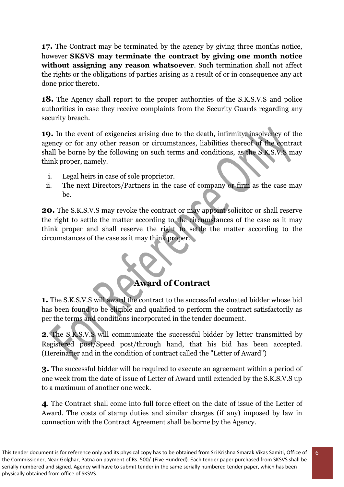**17.** The Contract may be terminated by the agency by giving three months notice, however **SKSVS may terminate the contract by giving one month notice without assigning any reason whatsoever**. Such termination shall not affect the rights or the obligations of parties arising as a result of or in consequence any act done prior thereto.

**18.** The Agency shall report to the proper authorities of the S.K.S.V.S and police authorities in case they receive complaints from the Security Guards regarding any security breach.

**19.** In the event of exigencies arising due to the death, infirmity, insolvency of the agency or for any other reason or circumstances, liabilities thereof of the contract shall be borne by the following on such terms and conditions, as the S.K.S.V.S may think proper, namely.

- i. Legal heirs in case of sole proprietor.
- ii. The next Directors/Partners in the case of company or firm as the case may be.

**20.** The S.K.S.V.S may revoke the contract or may appoint solicitor or shall reserve the right to settle the matter according to the circumstances of the case as it may think proper and shall reserve the right to settle the matter according to the circumstances of the case as it may think proper.

## **Award of Contract**

**1.** The S.K.S.V.S will award the contract to the successful evaluated bidder whose bid has been found to be eligible and qualified to perform the contract satisfactorily as per the terms and conditions incorporated in the tender document.

**2**. The S.K.S.V.S will communicate the successful bidder by letter transmitted by Registered post/Speed post/through hand, that his bid has been accepted. (Hereinafter and in the condition of contract called the "Letter of Award")

**3.** The successful bidder will be required to execute an agreement within a period of one week from the date of issue of Letter of Award until extended by the S.K.S.V.S up to a maximum of another one week.

**4**. The Contract shall come into full force effect on the date of issue of the Letter of Award. The costs of stamp duties and similar charges (if any) imposed by law in connection with the Contract Agreement shall be borne by the Agency.

This tender document is for reference only and its physical copy has to be obtained from Sri Krishna Smarak Vikas Samiti, Office of the Commissioner, Near Golghar, Patna on payment of Rs. 500/-(Five Hundred). Each tender paper purchased from SKSVS shall be serially numbered and signed. Agency will have to submit tender in the same serially numbered tender paper, which has been physically obtained from office of SKSVS.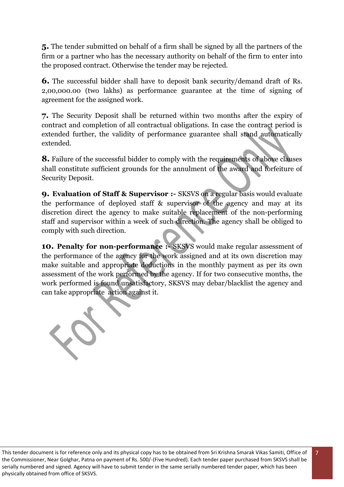**5.** The tender submitted on behalf of a firm shall be signed by all the partners of the firm or a partner who has the necessary authority on behalf of the firm to enter into the proposed contract. Otherwise the tender may be rejected.

**6.** The successful bidder shall have to deposit bank security/demand draft of Rs. 2,00,000.00 (two lakhs) as performance guarantee at the time of signing of agreement for the assigned work.

**7.** The Security Deposit shall be returned within two months after the expiry of contract and completion of all contractual obligations. In case the contract period is extended further, the validity of performance guarantee shall stand automatically extended.

**8.** Failure of the successful bidder to comply with the requirements of above clauses shall constitute sufficient grounds for the annulment of the award and forfeiture of Security Deposit.

**9. Evaluation of Staff & Supervisor :-** SKSVS on a regular basis would evaluate the performance of deployed staff & supervisor of the agency and may at its discretion direct the agency to make suitable replacement of the non-performing staff and supervisor within a week of such direction. The agency shall be obliged to comply with such direction.

10. Penalty for non-performance :- SKSVS would make regular assessment of the performance of the agency for the work assigned and at its own discretion may make suitable and appropriate deductions in the monthly payment as per its own assessment of the work performed by the agency. If for two consecutive months, the work performed is found unsatisfactory, SKSVS may debar/blacklist the agency and can take appropriate action against it.

10

This tender document is for reference only and its physical copy has to be obtained from Sri Krishna Smarak Vikas Samiti, Office of the Commissioner, Near Golghar, Patna on payment of Rs. 500/-(Five Hundred). Each tender paper purchased from SKSVS shall be serially numbered and signed. Agency will have to submit tender in the same serially numbered tender paper, which has been physically obtained from office of SKSVS.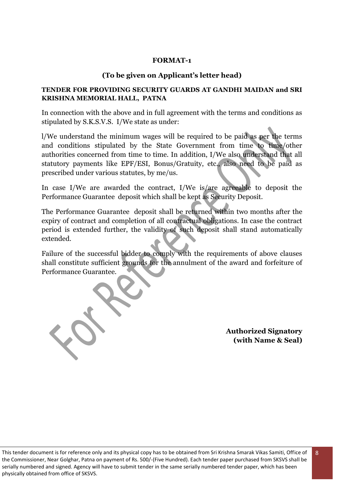#### **FORMAT-1**

#### **(To be given on Applicant's letter head)**

#### **TENDER FOR PROVIDING SECURITY GUARDS AT GANDHI MAIDAN and SRI KRISHNA MEMORIAL HALL, PATNA**

In connection with the above and in full agreement with the terms and conditions as stipulated by S.K.S.V.S. I/We state as under:

l/We understand the minimum wages will be required to be paid as per the terms and conditions stipulated by the State Government from time to time/other authorities concerned from time to time. In addition, I/We also understand that all statutory payments like EPF/ESI, Bonus/Gratuity, etc., also need to be paid as prescribed under various statutes, by me/us.

In case I/We are awarded the contract, I/We is/are agreeable to deposit the Performance Guarantee deposit which shall be kept as Security Deposit.

The Performance Guarantee deposit shall be returned within two months after the expiry of contract and completion of all contractual obligations. In case the contract period is extended further, the validity of such deposit shall stand automatically extended.

Failure of the successful bidder to comply with the requirements of above clauses shall constitute sufficient grounds for the annulment of the award and forfeiture of Performance Guarantee.

**Authorized Signatory (with Name & Seal)**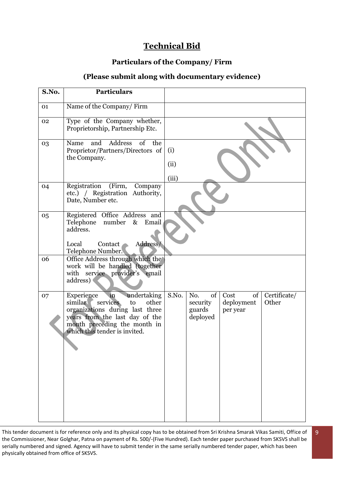## **Technical Bid**

#### **Particulars of the Company/ Firm**

#### **(Please submit along with documentary evidence)**

| <b>Particulars</b>                                                                                                                                                                                          |                      |                                             |                                      |                       |
|-------------------------------------------------------------------------------------------------------------------------------------------------------------------------------------------------------------|----------------------|---------------------------------------------|--------------------------------------|-----------------------|
| Name of the Company/Firm                                                                                                                                                                                    |                      |                                             |                                      |                       |
| Type of the Company whether,<br>Proprietorship, Partnership Etc.                                                                                                                                            |                      |                                             |                                      |                       |
| Address<br>of<br>the<br>and<br>Name<br>Proprietor/Partners/Directors of<br>the Company.                                                                                                                     | (i)<br>(ii)<br>(iii) |                                             |                                      |                       |
| Registration<br>(Firm,<br>Company<br>etc.) / Registration Authority,<br>Date, Number etc.                                                                                                                   |                      |                                             |                                      |                       |
| Registered Office Address and<br>number<br>Telephone<br>$\&$<br>Email<br>address.<br>Address/<br>Local<br>Contact<br>Telephone Number.                                                                      |                      |                                             |                                      |                       |
| Office Address through which the<br>work will be handled (together<br>with service provider's email<br>address)                                                                                             |                      |                                             |                                      |                       |
| undertaking<br>Experience<br>in<br>similar<br>other<br>services<br>to<br>organizations during last three<br>years from the last day of the<br>month preceding the month in<br>which this tender is invited. | S.No.                | of<br>No.<br>security<br>guards<br>deployed | of<br>Cost<br>deployment<br>per year | Certificate/<br>Other |
|                                                                                                                                                                                                             |                      |                                             |                                      |                       |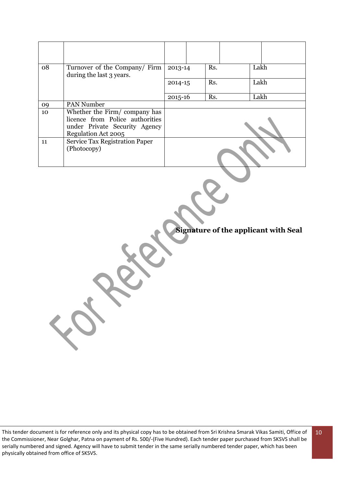| 08 | Turnover of the Company/ Firm<br>during the last 3 years.                                                               | 2013-14     | Rs. | Lakh |
|----|-------------------------------------------------------------------------------------------------------------------------|-------------|-----|------|
|    |                                                                                                                         | $2014 - 15$ | Rs. | Lakh |
|    |                                                                                                                         | $2015 - 16$ | Rs. | Lakh |
| 09 | <b>PAN Number</b>                                                                                                       |             |     |      |
| 10 | Whether the Firm/company has<br>licence from Police authorities<br>under Private Security Agency<br>Regulation Act 2005 |             |     |      |
| 11 | <b>Service Tax Registration Paper</b><br>(Photocopy)                                                                    |             |     |      |

**Signature of the applicant with Seal**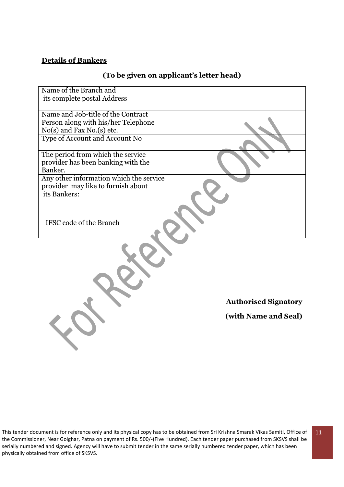#### **Details of Bankers**

| (To be given on applicant's letter head) |  |  |  |
|------------------------------------------|--|--|--|
|                                          |  |  |  |

| Name of the Branch and                  |                             |
|-----------------------------------------|-----------------------------|
| its complete postal Address             |                             |
|                                         |                             |
| Name and Job-title of the Contract      |                             |
| Person along with his/her Telephone     |                             |
| No(s) and Fax No.(s) etc.               |                             |
| Type of Account and Account No          |                             |
| The period from which the service       |                             |
| provider has been banking with the      |                             |
| Banker.                                 |                             |
| Any other information which the service |                             |
| provider may like to furnish about      |                             |
| its Bankers:                            |                             |
|                                         |                             |
| IFSC code of the Branch                 |                             |
|                                         |                             |
|                                         |                             |
|                                         |                             |
|                                         | <b>Authorised Signatory</b> |
|                                         | (with Name and Seal)        |
|                                         |                             |
|                                         |                             |
|                                         |                             |
|                                         |                             |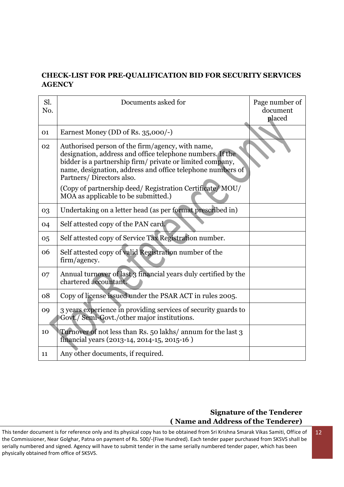#### **CHECK-LIST FOR PRE-QUALIFICATION BID FOR SECURITY SERVICES AGENCY**

| Sl.<br>No. | Documents asked for                                                                                                                                                                                                                                                  | Page number of<br>document<br>placed |
|------------|----------------------------------------------------------------------------------------------------------------------------------------------------------------------------------------------------------------------------------------------------------------------|--------------------------------------|
| 01         | Earnest Money (DD of Rs. 35,000/-)                                                                                                                                                                                                                                   |                                      |
| 02         | Authorised person of the firm/agency, with name,<br>designation, address and office telephone numbers. If the<br>bidder is a partnership firm/ private or limited company,<br>name, designation, address and office telephone numbers of<br>Partners/Directors also. |                                      |
|            | (Copy of partnership deed/ Registration Certificate/ MOU/<br>MOA as applicable to be submitted.)                                                                                                                                                                     |                                      |
| 03         | Undertaking on a letter head (as per format prescribed in)                                                                                                                                                                                                           |                                      |
| 04         | Self attested copy of the PAN card.                                                                                                                                                                                                                                  |                                      |
| 05         | Self attested copy of Service Tax Registration number.                                                                                                                                                                                                               |                                      |
| 06         | Self attested copy of valid Registration number of the<br>firm/agency.                                                                                                                                                                                               |                                      |
| 07         | Annual turnover of last 3 financial years duly certified by the<br>chartered accountant.                                                                                                                                                                             |                                      |
| 08         | Copy of license issued under the PSAR ACT in rules 2005.                                                                                                                                                                                                             |                                      |
| 09         | 3 years experience in providing services of security guards to<br>Govt./ Semi-Govt./other major institutions.                                                                                                                                                        |                                      |
| 10         | Turnover of not less than Rs. 50 lakhs/ annum for the last 3<br>financial years (2013-14, 2014-15, 2015-16)                                                                                                                                                          |                                      |
| 11         | Any other documents, if required.                                                                                                                                                                                                                                    |                                      |

#### **Signature of the Tenderer ( Name and Address of the Tenderer)**